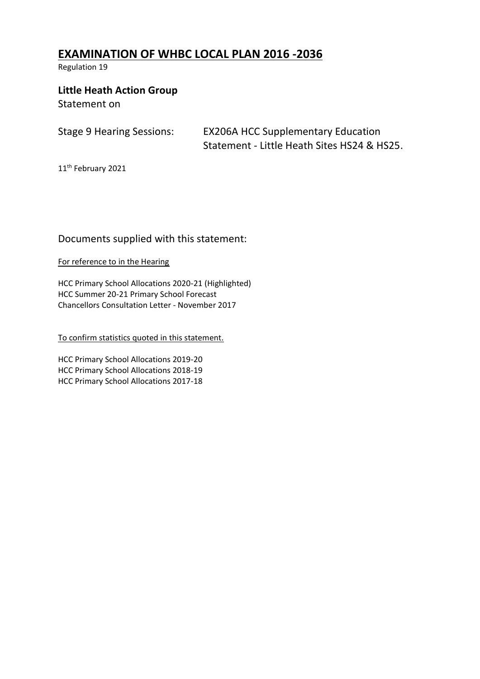# **EXAMINATION OF WHBC LOCAL PLAN 2016 -2036**

Regulation 19

# **Little Heath Action Group**

Statement on

| <b>Stage 9 Hearing Sessions:</b> | <b>EX206A HCC Supplementary Education</b>   |  |  |  |  |
|----------------------------------|---------------------------------------------|--|--|--|--|
|                                  | Statement - Little Heath Sites HS24 & HS25. |  |  |  |  |

11<sup>th</sup> February 2021

# Documents supplied with this statement:

# For reference to in the Hearing

HCC Primary School Allocations 2020-21 (Highlighted) HCC Summer 20-21 Primary School Forecast Chancellors Consultation Letter - November 2017

# To confirm statistics quoted in this statement.

HCC Primary School Allocations 2019-20 HCC Primary School Allocations 2018-19 HCC Primary School Allocations 2017-18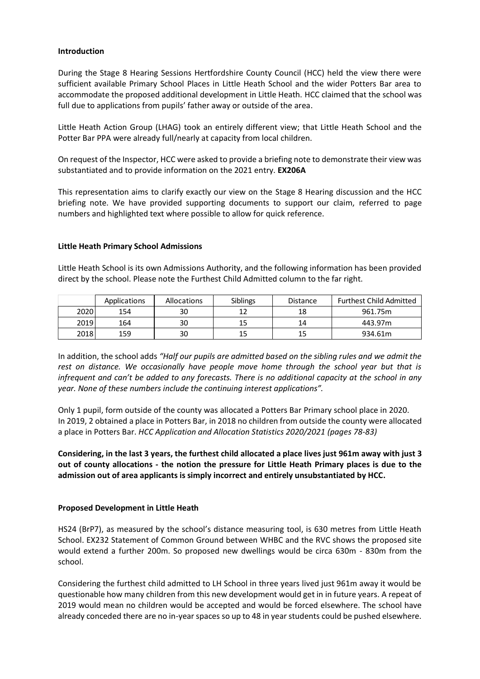#### **Introduction**

During the Stage 8 Hearing Sessions Hertfordshire County Council (HCC) held the view there were sufficient available Primary School Places in Little Heath School and the wider Potters Bar area to accommodate the proposed additional development in Little Heath. HCC claimed that the school was full due to applications from pupils' father away or outside of the area.

Little Heath Action Group (LHAG) took an entirely different view; that Little Heath School and the Potter Bar PPA were already full/nearly at capacity from local children.

On request of the Inspector, HCC were asked to provide a briefing note to demonstrate their view was substantiated and to provide information on the 2021 entry. **EX206A**

This representation aims to clarify exactly our view on the Stage 8 Hearing discussion and the HCC briefing note. We have provided supporting documents to support our claim, referred to page numbers and highlighted text where possible to allow for quick reference.

#### **Little Heath Primary School Admissions**

Little Heath School is its own Admissions Authority, and the following information has been provided direct by the school. Please note the Furthest Child Admitted column to the far right.

|      | Applications | <b>Allocations</b> | Siblings | <b>Distance</b> | <b>Furthest Child Admitted</b> |
|------|--------------|--------------------|----------|-----------------|--------------------------------|
| 2020 | 154          | 30                 | 12       | 18              | 961.75m                        |
| 2019 | 164          | 30                 | 15       | 14              | 443.97m                        |
| 2018 | 159          | 30                 | 15       | 15              | 934.61m                        |

In addition, the school adds *"Half our pupils are admitted based on the sibling rules and we admit the rest on distance. We occasionally have people move home through the school year but that is infrequent and can't be added to any forecasts. There is no additional capacity at the school in any year. None of these numbers include the continuing interest applications".*

Only 1 pupil, form outside of the county was allocated a Potters Bar Primary school place in 2020. In 2019, 2 obtained a place in Potters Bar, in 2018 no children from outside the county were allocated a place in Potters Bar. *HCC Application and Allocation Statistics 2020/2021 (pages 78-83)*

**Considering, in the last 3 years, the furthest child allocated a place lives just 961m away with just 3 out of county allocations - the notion the pressure for Little Heath Primary places is due to the admission out of area applicants is simply incorrect and entirely unsubstantiated by HCC.** 

#### **Proposed Development in Little Heath**

HS24 (BrP7), as measured by the school's distance measuring tool, is 630 metres from Little Heath School. EX232 Statement of Common Ground between WHBC and the RVC shows the proposed site would extend a further 200m. So proposed new dwellings would be circa 630m - 830m from the school.

Considering the furthest child admitted to LH School in three years lived just 961m away it would be questionable how many children from this new development would get in in future years. A repeat of 2019 would mean no children would be accepted and would be forced elsewhere. The school have already conceded there are no in-year spaces so up to 48 in year students could be pushed elsewhere.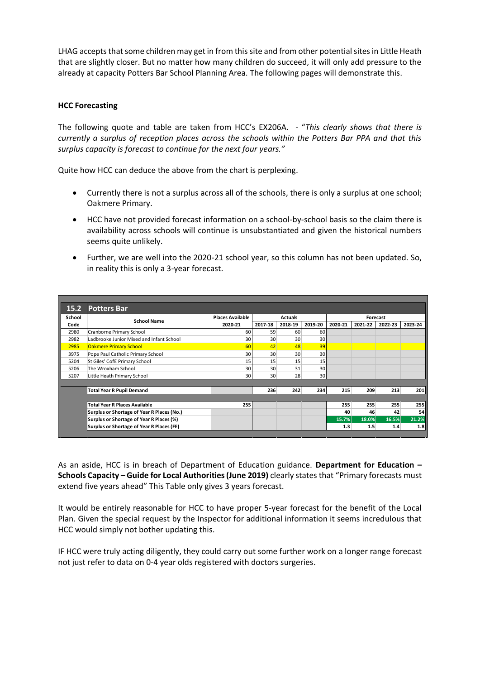LHAG accepts that some children may get in from this site and from other potential sites in Little Heath that are slightly closer. But no matter how many children do succeed, it will only add pressure to the already at capacity Potters Bar School Planning Area. The following pages will demonstrate this.

#### **HCC Forecasting**

The following quote and table are taken from HCC's EX206A. - "*This clearly shows that there is currently a surplus of reception places across the schools within the Potters Bar PPA and that this surplus capacity is forecast to continue for the next four years."*

Quite how HCC can deduce the above from the chart is perplexing.

- Currently there is not a surplus across all of the schools, there is only a surplus at one school; Oakmere Primary.
- HCC have not provided forecast information on a school-by-school basis so the claim there is availability across schools will continue is unsubstantiated and given the historical numbers seems quite unlikely.
- Further, we are well into the 2020-21 school year, so this column has not been updated. So, in reality this is only a 3-year forecast.

| 15.2   | <b>Potters Bar</b>                         |                         |                |         |         |                 |         |         |         |  |
|--------|--------------------------------------------|-------------------------|----------------|---------|---------|-----------------|---------|---------|---------|--|
| School | <b>School Name</b>                         | <b>Places Available</b> | <b>Actuals</b> |         |         | <b>Forecast</b> |         |         |         |  |
| Code   |                                            | 2020-21                 | 2017-18        | 2018-19 | 2019-20 | 2020-21         | 2021-22 | 2022-23 | 2023-24 |  |
| 2980   | Cranborne Primary School                   | 60                      | 59             | 60      | 60      |                 |         |         |         |  |
| 2982   | Ladbrooke Junior Mixed and Infant School   | 30                      | 30             | 30      | 30      |                 |         |         |         |  |
| 2985   | <b>Oakmere Primary School</b>              | 60                      | 42             | 48      | 39      |                 |         |         |         |  |
| 3975   | Pope Paul Catholic Primary School          | 30                      | 30             | 30      | 30      |                 |         |         |         |  |
| 5204   | St Giles' CofE Primary School              | 15                      | 15             | 15      | 15      |                 |         |         |         |  |
| 5206   | The Wroxham School                         | 30                      | 30             | 31      | 30      |                 |         |         |         |  |
| 5207   | Little Heath Primary School                | 30                      | 30             | 28      | 30      |                 |         |         |         |  |
|        |                                            |                         |                |         |         |                 |         |         |         |  |
|        | <b>Total Year R Pupil Demand</b>           |                         | 236            | 242     | 234     | 215             | 209     | 213     | 201     |  |
|        |                                            |                         |                |         |         |                 |         |         |         |  |
|        | <b>Total Year R Places Available</b>       | 255                     |                |         |         | 255             | 255     | 255     | 255     |  |
|        | Surplus or Shortage of Year R Places (No.) |                         |                |         |         | 40              | 46      | 42      | 54      |  |
|        | Surplus or Shortage of Year R Places (%)   |                         |                |         |         | 15.7%           | 18.0%   | 16.5%   | 21.2%   |  |
|        | Surplus or Shortage of Year R Places (FE)  |                         |                |         |         | 1.3             | 1.5     | 1.4     | 1.8     |  |

As an aside, HCC is in breach of Department of Education guidance. **Department for Education – Schools Capacity – Guide for Local Authorities (June 2019)** clearly states that "Primary forecasts must extend five years ahead" This Table only gives 3 years forecast.

It would be entirely reasonable for HCC to have proper 5-year forecast for the benefit of the Local Plan. Given the special request by the Inspector for additional information it seems incredulous that HCC would simply not bother updating this.

IF HCC were truly acting diligently, they could carry out some further work on a longer range forecast not just refer to data on 0-4 year olds registered with doctors surgeries.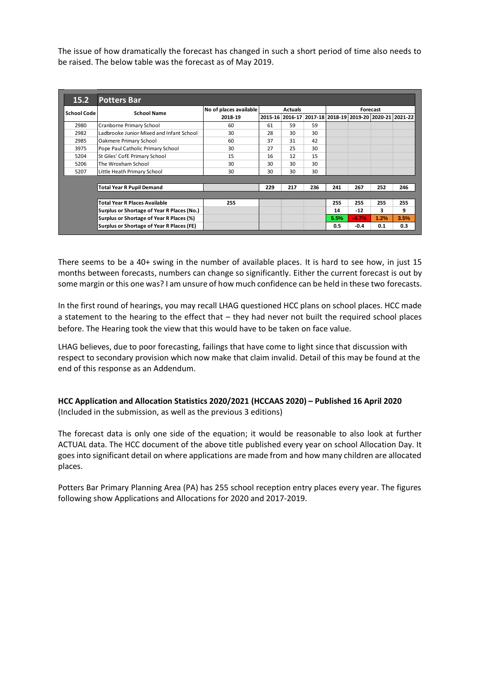The issue of how dramatically the forecast has changed in such a short period of time also needs to be raised. The below table was the forecast as of May 2019.

| 15.2               | <b>Potters Bar</b>                         |                        |                |     |     |          |         |                                                         |      |
|--------------------|--------------------------------------------|------------------------|----------------|-----|-----|----------|---------|---------------------------------------------------------|------|
| <b>School Code</b> | <b>School Name</b>                         | No of places available | <b>Actuals</b> |     |     | Forecast |         |                                                         |      |
|                    |                                            | 2018-19                |                |     |     |          |         | 2015-16 2016-17 2017-18 2018-19 2019-20 2020-21 2021-22 |      |
| 2980               | Cranborne Primary School                   | 60                     | 61             | 59  | 59  |          |         |                                                         |      |
| 2982               | Ladbrooke Junior Mixed and Infant School   | 30                     | 28             | 30  | 30  |          |         |                                                         |      |
| 2985               | Oakmere Primary School                     | 60                     | 37             | 31  | 42  |          |         |                                                         |      |
| 3975               | Pope Paul Catholic Primary School          | 30                     | 27             | 25  | 30  |          |         |                                                         |      |
| 5204               | St Giles' CofE Primary School              | 15                     | 16             | 12  | 15  |          |         |                                                         |      |
| 5206               | The Wroxham School                         | 30                     | 30             | 30  | 30  |          |         |                                                         |      |
| 5207               | Little Heath Primary School                | 30                     | 30             | 30  | 30  |          |         |                                                         |      |
|                    |                                            |                        |                |     |     |          |         |                                                         |      |
|                    | <b>Total Year R Pupil Demand</b>           |                        | 229            | 217 | 236 | 241      | 267     | 252                                                     | 246  |
|                    |                                            |                        |                |     |     |          |         |                                                         |      |
|                    | <b>Total Year R Places Available</b>       | 255                    |                |     |     | 255      | 255     | 255                                                     | 255  |
|                    | Surplus or Shortage of Year R Places (No.) |                        |                |     |     | 14       | $-12$   | 3                                                       | q    |
|                    | Surplus or Shortage of Year R Places (%)   |                        |                |     |     | 5.5%     | $-4.7%$ | 1.2%                                                    | 3.5% |
|                    | Surplus or Shortage of Year R Places (FE)  |                        |                |     |     | 0.5      | $-0.4$  | 0.1                                                     | 0.3  |

There seems to be a 40+ swing in the number of available places. It is hard to see how, in just 15 months between forecasts, numbers can change so significantly. Either the current forecast is out by some margin or this one was? I am unsure of how much confidence can be held in these two forecasts.

In the first round of hearings, you may recall LHAG questioned HCC plans on school places. HCC made a statement to the hearing to the effect that – they had never not built the required school places before. The Hearing took the view that this would have to be taken on face value.

LHAG believes, due to poor forecasting, failings that have come to light since that discussion with respect to secondary provision which now make that claim invalid. Detail of this may be found at the end of this response as an Addendum.

**HCC Application and Allocation Statistics 2020/2021 (HCCAAS 2020) – Published 16 April 2020** (Included in the submission, as well as the previous 3 editions)

The forecast data is only one side of the equation; it would be reasonable to also look at further ACTUAL data. The HCC document of the above title published every year on school Allocation Day. It goes into significant detail on where applications are made from and how many children are allocated places.

Potters Bar Primary Planning Area (PA) has 255 school reception entry places every year. The figures following show Applications and Allocations for 2020 and 2017-2019.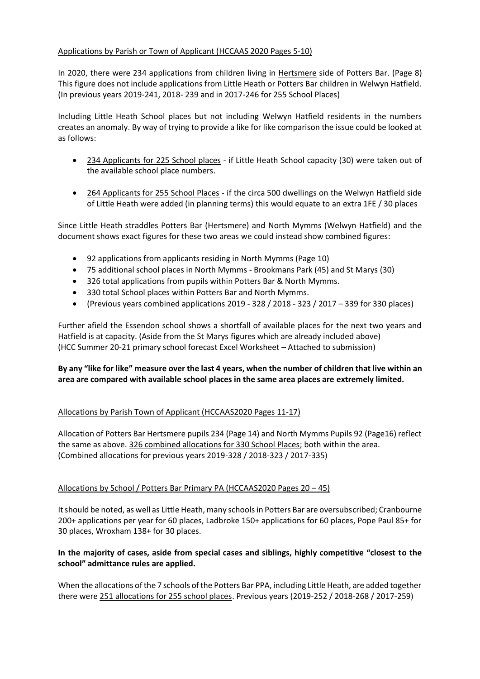#### Applications by Parish or Town of Applicant (HCCAAS 2020 Pages 5-10)

In 2020, there were 234 applications from children living in Hertsmere side of Potters Bar. (Page 8) This figure does not include applications from Little Heath or Potters Bar children in Welwyn Hatfield. (In previous years 2019-241, 2018- 239 and in 2017-246 for 255 School Places)

Including Little Heath School places but not including Welwyn Hatfield residents in the numbers creates an anomaly. By way of trying to provide a like for like comparison the issue could be looked at as follows:

- 234 Applicants for 225 School places if Little Heath School capacity (30) were taken out of the available school place numbers.
- 264 Applicants for 255 School Places if the circa 500 dwellings on the Welwyn Hatfield side of Little Heath were added (in planning terms) this would equate to an extra 1FE / 30 places

Since Little Heath straddles Potters Bar (Hertsmere) and North Mymms (Welwyn Hatfield) and the document shows exact figures for these two areas we could instead show combined figures:

- 92 applications from applicants residing in North Mymms (Page 10)
- 75 additional school places in North Mymms Brookmans Park (45) and St Marys (30)
- 326 total applications from pupils within Potters Bar & North Mymms.
- 330 total School places within Potters Bar and North Mymms.
- (Previous years combined applications 2019 328 / 2018 323 / 2017 339 for 330 places)

Further afield the Essendon school shows a shortfall of available places for the next two years and Hatfield is at capacity. (Aside from the St Marys figures which are already included above) (HCC Summer 20-21 primary school forecast Excel Worksheet – Attached to submission)

# **By any "like for like" measure over the last 4 years, when the number of children that live within an area are compared with available school places in the same area places are extremely limited.**

# Allocations by Parish Town of Applicant (HCCAAS2020 Pages 11-17)

Allocation of Potters Bar Hertsmere pupils 234 (Page 14) and North Mymms Pupils 92 (Page16) reflect the same as above. 326 combined allocations for 330 School Places; both within the area. (Combined allocations for previous years 2019-328 / 2018-323 / 2017-335)

# Allocations by School / Potters Bar Primary PA (HCCAAS2020 Pages 20 – 45)

It should be noted, as well as Little Heath, many schools in Potters Bar are oversubscribed; Cranbourne 200+ applications per year for 60 places, Ladbroke 150+ applications for 60 places, Pope Paul 85+ for 30 places, Wroxham 138+ for 30 places.

# **In the majority of cases, aside from special cases and siblings, highly competitive "closest to the school" admittance rules are applied.**

When the allocations of the 7 schools of the Potters Bar PPA, including Little Heath, are added together there were 251 allocations for 255 school places. Previous years (2019-252 / 2018-268 / 2017-259)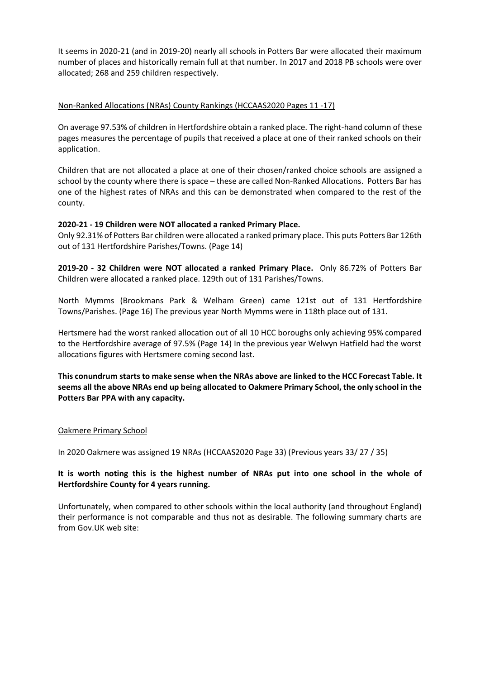It seems in 2020-21 (and in 2019-20) nearly all schools in Potters Bar were allocated their maximum number of places and historically remain full at that number. In 2017 and 2018 PB schools were over allocated; 268 and 259 children respectively.

#### Non-Ranked Allocations (NRAs) County Rankings (HCCAAS2020 Pages 11 -17)

On average 97.53% of children in Hertfordshire obtain a ranked place. The right-hand column of these pages measures the percentage of pupils that received a place at one of their ranked schools on their application.

Children that are not allocated a place at one of their chosen/ranked choice schools are assigned a school by the county where there is space – these are called Non-Ranked Allocations. Potters Bar has one of the highest rates of NRAs and this can be demonstrated when compared to the rest of the county.

#### **2020-21 - 19 Children were NOT allocated a ranked Primary Place.**

Only 92.31% of Potters Bar children were allocated a ranked primary place. This puts Potters Bar 126th out of 131 Hertfordshire Parishes/Towns. (Page 14)

**2019-20 - 32 Children were NOT allocated a ranked Primary Place.** Only 86.72% of Potters Bar Children were allocated a ranked place. 129th out of 131 Parishes/Towns.

North Mymms (Brookmans Park & Welham Green) came 121st out of 131 Hertfordshire Towns/Parishes. (Page 16) The previous year North Mymms were in 118th place out of 131.

Hertsmere had the worst ranked allocation out of all 10 HCC boroughs only achieving 95% compared to the Hertfordshire average of 97.5% (Page 14) In the previous year Welwyn Hatfield had the worst allocations figures with Hertsmere coming second last.

**This conundrum starts to make sense when the NRAs above are linked to the HCC Forecast Table. It seems all the above NRAs end up being allocated to Oakmere Primary School, the only school in the Potters Bar PPA with any capacity.**

#### Oakmere Primary School

In 2020 Oakmere was assigned 19 NRAs (HCCAAS2020 Page 33) (Previous years 33/ 27 / 35)

#### **It is worth noting this is the highest number of NRAs put into one school in the whole of Hertfordshire County for 4 years running.**

Unfortunately, when compared to other schools within the local authority (and throughout England) their performance is not comparable and thus not as desirable. The following summary charts are from Gov.UK web site: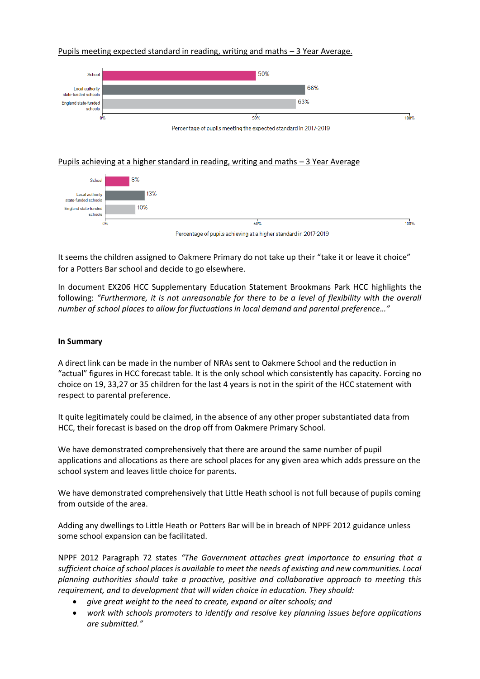#### Pupils meeting expected standard in reading, writing and maths – 3 Year Average.





It seems the children assigned to Oakmere Primary do not take up their "take it or leave it choice" for a Potters Bar school and decide to go elsewhere.

In document EX206 HCC Supplementary Education Statement Brookmans Park HCC highlights the following: *"Furthermore, it is not unreasonable for there to be a level of flexibility with the overall number of school places to allow for fluctuations in local demand and parental preference…"*

#### **In Summary**

A direct link can be made in the number of NRAs sent to Oakmere School and the reduction in "actual" figures in HCC forecast table. It is the only school which consistently has capacity. Forcing no choice on 19, 33,27 or 35 children for the last 4 years is not in the spirit of the HCC statement with respect to parental preference.

It quite legitimately could be claimed, in the absence of any other proper substantiated data from HCC, their forecast is based on the drop off from Oakmere Primary School.

We have demonstrated comprehensively that there are around the same number of pupil applications and allocations as there are school places for any given area which adds pressure on the school system and leaves little choice for parents.

We have demonstrated comprehensively that Little Heath school is not full because of pupils coming from outside of the area.

Adding any dwellings to Little Heath or Potters Bar will be in breach of NPPF 2012 guidance unless some school expansion can be facilitated.

NPPF 2012 Paragraph 72 states *"The Government attaches great importance to ensuring that a sufficient choice of school places is available to meet the needs of existing and new communities. Local planning authorities should take a proactive, positive and collaborative approach to meeting this requirement, and to development that will widen choice in education. They should:*

- *give great weight to the need to create, expand or alter schools; and*
- *work with schools promoters to identify and resolve key planning issues before applications are submitted."*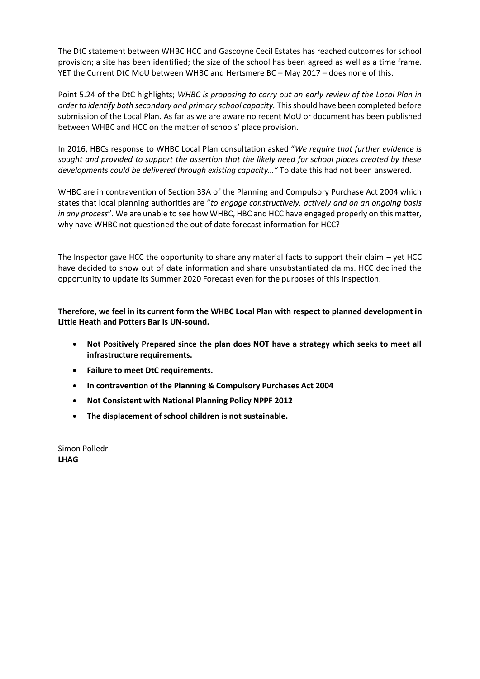The DtC statement between WHBC HCC and Gascoyne Cecil Estates has reached outcomes for school provision; a site has been identified; the size of the school has been agreed as well as a time frame. YET the Current DtC MoU between WHBC and Hertsmere BC – May 2017 – does none of this.

Point 5.24 of the DtC highlights; *WHBC is proposing to carry out an early review of the Local Plan in order to identify both secondary and primary school capacity.* This should have been completed before submission of the Local Plan. As far as we are aware no recent MoU or document has been published between WHBC and HCC on the matter of schools' place provision.

In 2016, HBCs response to WHBC Local Plan consultation asked "*We require that further evidence is sought and provided to support the assertion that the likely need for school places created by these developments could be delivered through existing capacity…"* To date this had not been answered.

WHBC are in contravention of Section 33A of the Planning and Compulsory Purchase Act 2004 which states that local planning authorities are "*to engage constructively, actively and on an ongoing basis in any process*". We are unable to see how WHBC, HBC and HCC have engaged properly on this matter, why have WHBC not questioned the out of date forecast information for HCC?

The Inspector gave HCC the opportunity to share any material facts to support their claim – yet HCC have decided to show out of date information and share unsubstantiated claims. HCC declined the opportunity to update its Summer 2020 Forecast even for the purposes of this inspection.

**Therefore, we feel in its current form the WHBC Local Plan with respect to planned development in Little Heath and Potters Bar is UN-sound.**

- **Not Positively Prepared since the plan does NOT have a strategy which seeks to meet all infrastructure requirements.**
- **Failure to meet DtC requirements.**
- **In contravention of the Planning & Compulsory Purchases Act 2004**
- **Not Consistent with National Planning Policy NPPF 2012**
- **The displacement of school children is not sustainable.**

Simon Polledri **LHAG**